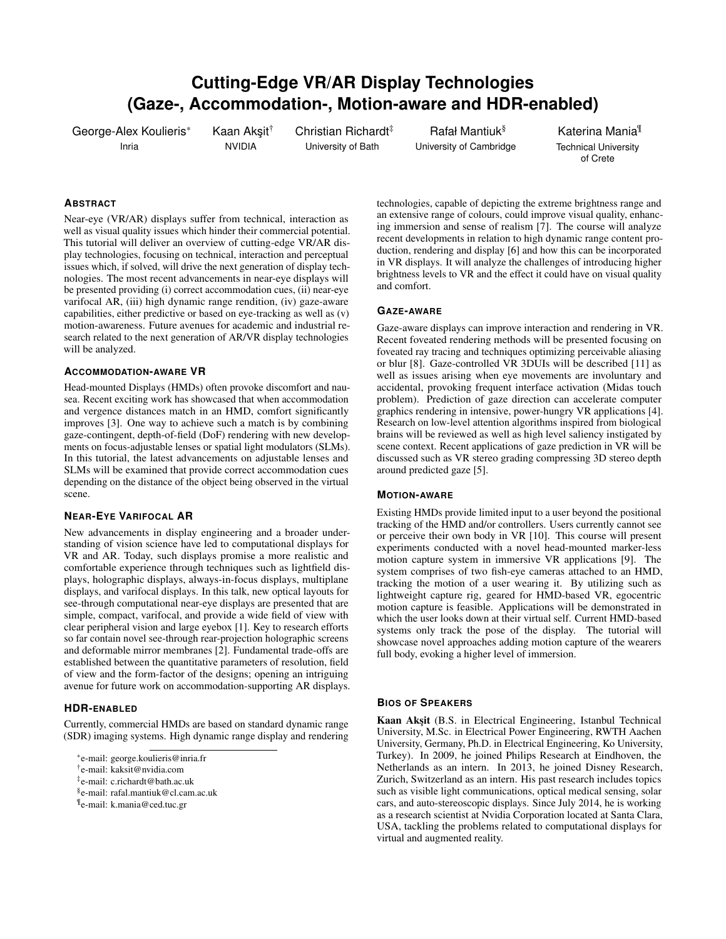# **Cutting-Edge VR/AR Display Technologies (Gaze-, Accommodation-, Motion-aware and HDR-enabled)**

George-Alex Koulieris\* Inria

Kaan Akşit<sup>†</sup> NVIDIA

Christian Richardt<sup>‡</sup> University of Bath

Rafał Mantiuk§ University of Cambridge

Katerina Mania¶ Technical University of Crete

## **ABSTRACT**

Near-eye (VR/AR) displays suffer from technical, interaction as well as visual quality issues which hinder their commercial potential. This tutorial will deliver an overview of cutting-edge VR/AR display technologies, focusing on technical, interaction and perceptual issues which, if solved, will drive the next generation of display technologies. The most recent advancements in near-eye displays will be presented providing (i) correct accommodation cues, (ii) near-eye varifocal AR, (iii) high dynamic range rendition, (iv) gaze-aware capabilities, either predictive or based on eye-tracking as well as (v) motion-awareness. Future avenues for academic and industrial research related to the next generation of AR/VR display technologies will be analyzed.

### **ACCOMMODATION-AWARE VR**

Head-mounted Displays (HMDs) often provoke discomfort and nausea. Recent exciting work has showcased that when accommodation and vergence distances match in an HMD, comfort significantly improves [\[3\]](#page-1-0). One way to achieve such a match is by combining gaze-contingent, depth-of-field (DoF) rendering with new developments on focus-adjustable lenses or spatial light modulators (SLMs). In this tutorial, the latest advancements on adjustable lenses and SLMs will be examined that provide correct accommodation cues depending on the distance of the object being observed in the virtual scene.

#### **NEAR-EYE VARIFOCAL AR**

New advancements in display engineering and a broader understanding of vision science have led to computational displays for VR and AR. Today, such displays promise a more realistic and comfortable experience through techniques such as lightfield displays, holographic displays, always-in-focus displays, multiplane displays, and varifocal displays. In this talk, new optical layouts for see-through computational near-eye displays are presented that are simple, compact, varifocal, and provide a wide field of view with clear peripheral vision and large eyebox [\[1\]](#page-1-1). Key to research efforts so far contain novel see-through rear-projection holographic screens and deformable mirror membranes [\[2\]](#page-1-2). Fundamental trade-offs are established between the quantitative parameters of resolution, field of view and the form-factor of the designs; opening an intriguing avenue for future work on accommodation-supporting AR displays.

#### **HDR-ENABLED**

Currently, commercial HMDs are based on standard dynamic range (SDR) imaging systems. High dynamic range display and rendering

‡ e-mail: c.richardt@bath.ac.uk

- § e-mail: rafal.mantiuk@cl.cam.ac.uk
- ¶ e-mail: k.mania@ced.tuc.gr

technologies, capable of depicting the extreme brightness range and an extensive range of colours, could improve visual quality, enhancing immersion and sense of realism [\[7\]](#page-1-3). The course will analyze recent developments in relation to high dynamic range content production, rendering and display [\[6\]](#page-1-4) and how this can be incorporated in VR displays. It will analyze the challenges of introducing higher brightness levels to VR and the effect it could have on visual quality and comfort.

#### **GAZE-AWARE**

Gaze-aware displays can improve interaction and rendering in VR. Recent foveated rendering methods will be presented focusing on foveated ray tracing and techniques optimizing perceivable aliasing or blur [\[8\]](#page-1-5). Gaze-controlled VR 3DUIs will be described [\[11\]](#page-1-6) as well as issues arising when eye movements are involuntary and accidental, provoking frequent interface activation (Midas touch problem). Prediction of gaze direction can accelerate computer graphics rendering in intensive, power-hungry VR applications [\[4\]](#page-1-7). Research on low-level attention algorithms inspired from biological brains will be reviewed as well as high level saliency instigated by scene context. Recent applications of gaze prediction in VR will be discussed such as VR stereo grading compressing 3D stereo depth around predicted gaze [\[5\]](#page-1-8).

### **MOTION-AWARE**

Existing HMDs provide limited input to a user beyond the positional tracking of the HMD and/or controllers. Users currently cannot see or perceive their own body in VR [\[10\]](#page-1-9). This course will present experiments conducted with a novel head-mounted marker-less motion capture system in immersive VR applications [\[9\]](#page-1-10). The system comprises of two fish-eye cameras attached to an HMD, tracking the motion of a user wearing it. By utilizing such as lightweight capture rig, geared for HMD-based VR, egocentric motion capture is feasible. Applications will be demonstrated in which the user looks down at their virtual self. Current HMD-based systems only track the pose of the display. The tutorial will showcase novel approaches adding motion capture of the wearers full body, evoking a higher level of immersion.

#### **BIOS OF SPEAKERS**

Kaan Aksit (B.S. in Electrical Engineering, Istanbul Technical University, M.Sc. in Electrical Power Engineering, RWTH Aachen University, Germany, Ph.D. in Electrical Engineering, Ko University, Turkey). In 2009, he joined Philips Research at Eindhoven, the Netherlands as an intern. In 2013, he joined Disney Research, Zurich, Switzerland as an intern. His past research includes topics such as visible light communications, optical medical sensing, solar cars, and auto-stereoscopic displays. Since July 2014, he is working as a research scientist at Nvidia Corporation located at Santa Clara, USA, tackling the problems related to computational displays for virtual and augmented reality.

<sup>\*</sup>e-mail: george.koulieris@inria.fr

<sup>†</sup> e-mail: kaksit@nvidia.com